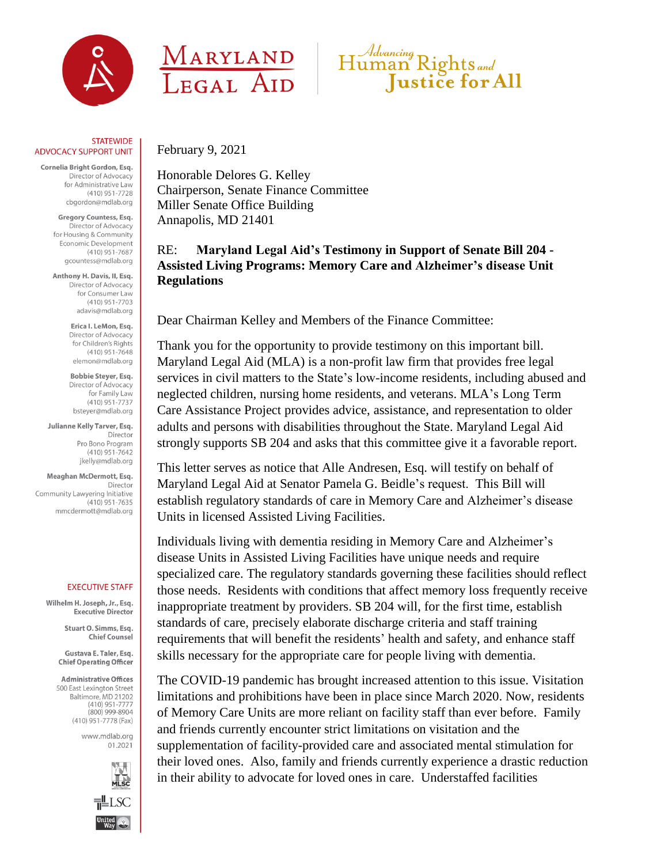

## **STATEWIDE ADVOCACY SUPPORT UNIT**

Cornelia Bright Gordon, Esq. Director of Advocacy for Administrative Law  $(410)$  951-7728 cbgordon@mdlab.org

> Gregory Countess, Esg. Director of Advocacy for Housing & Community Economic Development  $(410)$  951-7687 gcountess@mdlab.org

Anthony H. Davis, II, Esq. Director of Advocacy for Consumer Law  $(410)$  951-7703 adavis@mdlab.org

> Erica I. LeMon, Esq. Director of Advocacy for Children's Rights  $(410)$  951-7648 elemon@mdlab.org

Bobbie Steyer, Esq. Director of Advocacy for Family Law  $(410)$  951-7737 bstever@mdlab.org

Julianne Kelly Tarver, Esq. Director Pro Bono Program  $(410)$  951-7642 jkelly@mdlab.org

Meaghan McDermott, Esq. Director Community Lawyering Initiative  $(410)$  951-7635 mmcdermott@mdlab.org

## **EXECUTIVE STAFF**

Wilhelm H. Joseph, Jr., Esa. Executive Director

> Stuart O. Simms, Esq. **Chief Counsel**

Gustava E. Taler, Esq. **Chief Operating Officer** 

**Administrative Offices** 500 East Lexington Street Baltimore, MD 21202  $(410)$  951-7777  $(800)$  999-8904 (410) 951-7778 (Fax)

> www.mdlab.org 01.2021







February 9, 2021

Honorable Delores G. Kelley Chairperson, Senate Finance Committee Miller Senate Office Building Annapolis, MD 21401

RE: **Maryland Legal Aid's Testimony in Support of Senate Bill 204 - Assisted Living Programs: Memory Care and Alzheimer's disease Unit Regulations**

Dear Chairman Kelley and Members of the Finance Committee:

Thank you for the opportunity to provide testimony on this important bill. Maryland Legal Aid (MLA) is a non-profit law firm that provides free legal services in civil matters to the State's low-income residents, including abused and neglected children, nursing home residents, and veterans. MLA's Long Term Care Assistance Project provides advice, assistance, and representation to older adults and persons with disabilities throughout the State. Maryland Legal Aid strongly supports SB 204 and asks that this committee give it a favorable report.

This letter serves as notice that Alle Andresen, Esq. will testify on behalf of Maryland Legal Aid at Senator Pamela G. Beidle's request. This Bill will establish regulatory standards of care in Memory Care and Alzheimer's disease Units in licensed Assisted Living Facilities.

Individuals living with dementia residing in Memory Care and Alzheimer's disease Units in Assisted Living Facilities have unique needs and require specialized care. The regulatory standards governing these facilities should reflect those needs. Residents with conditions that affect memory loss frequently receive inappropriate treatment by providers. SB 204 will, for the first time, establish standards of care, precisely elaborate discharge criteria and staff training requirements that will benefit the residents' health and safety, and enhance staff skills necessary for the appropriate care for people living with dementia.

The COVID-19 pandemic has brought increased attention to this issue. Visitation limitations and prohibitions have been in place since March 2020. Now, residents of Memory Care Units are more reliant on facility staff than ever before. Family and friends currently encounter strict limitations on visitation and the supplementation of facility-provided care and associated mental stimulation for their loved ones. Also, family and friends currently experience a drastic reduction in their ability to advocate for loved ones in care. Understaffed facilities